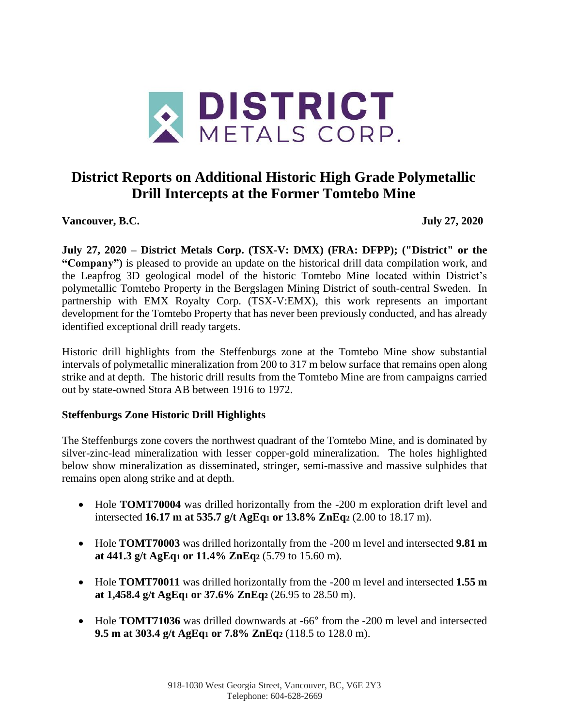

# **District Reports on Additional Historic High Grade Polymetallic Drill Intercepts at the Former Tomtebo Mine**

**Vancouver, B.C. July 27, 2020**

**July 27, 2020 – District Metals Corp. (TSX-V: DMX) (FRA: DFPP); ("District" or the "Company")** is pleased to provide an update on the historical drill data compilation work, and the Leapfrog 3D geological model of the historic Tomtebo Mine located within District's polymetallic Tomtebo Property in the Bergslagen Mining District of south-central Sweden. In partnership with EMX Royalty Corp. (TSX-V:EMX), this work represents an important development for the Tomtebo Property that has never been previously conducted, and has already identified exceptional drill ready targets.

Historic drill highlights from the Steffenburgs zone at the Tomtebo Mine show substantial intervals of polymetallic mineralization from 200 to 317 m below surface that remains open along strike and at depth. The historic drill results from the Tomtebo Mine are from campaigns carried out by state-owned Stora AB between 1916 to 1972.

### **Steffenburgs Zone Historic Drill Highlights**

The Steffenburgs zone covers the northwest quadrant of the Tomtebo Mine, and is dominated by silver-zinc-lead mineralization with lesser copper-gold mineralization. The holes highlighted below show mineralization as disseminated, stringer, semi-massive and massive sulphides that remains open along strike and at depth.

- Hole **TOMT70004** was drilled horizontally from the -200 m exploration drift level and intersected **16.17 m at 535.7 g/t AgEq<sup>1</sup> or 13.8% ZnEq<sup>2</sup>** (2.00 to 18.17 m).
- Hole **TOMT70003** was drilled horizontally from the -200 m level and intersected **9.81 m at 441.3 g/t AgEq<sup>1</sup> or 11.4% ZnEq<sup>2</sup>** (5.79 to 15.60 m).
- Hole **TOMT70011** was drilled horizontally from the -200 m level and intersected **1.55 m at 1,458.4 g/t AgEq<sup>1</sup> or 37.6% ZnEq<sup>2</sup>** (26.95 to 28.50 m).
- Hole **TOMT71036** was drilled downwards at -66° from the -200 m level and intersected **9.5 m at 303.4 g/t AgEq<sup>1</sup> or 7.8% ZnEq<sup>2</sup>** (118.5 to 128.0 m).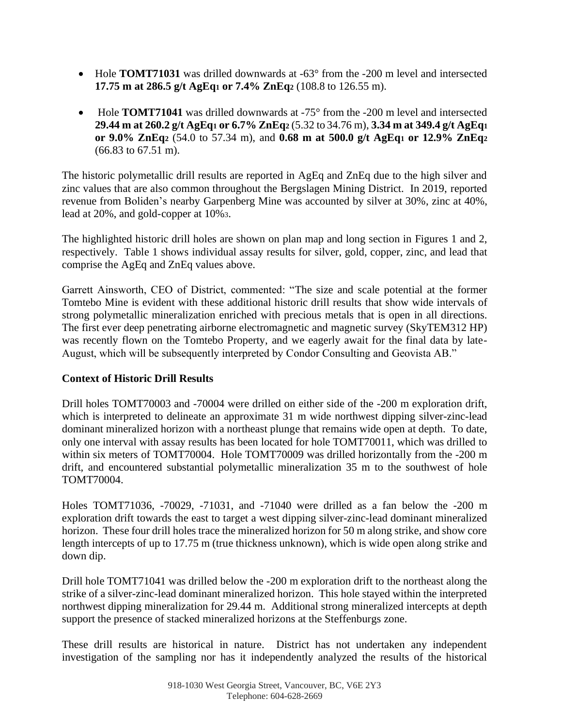- Hole **TOMT71031** was drilled downwards at -63° from the -200 m level and intersected **17.75 m at 286.5 g/t AgEq<sup>1</sup> or 7.4% ZnEq<sup>2</sup>** (108.8 to 126.55 m).
- Hole **TOMT71041** was drilled downwards at -75° from the -200 m level and intersected **29.44 m at 260.2 g/t AgEq<sup>1</sup> or 6.7% ZnEq<sup>2</sup>** (5.32 to 34.76 m), **3.34 m at 349.4 g/t AgEq<sup>1</sup> or 9.0% ZnEq<sup>2</sup>** (54.0 to 57.34 m), and **0.68 m at 500.0 g/t AgEq<sup>1</sup> or 12.9% ZnEq<sup>2</sup>** (66.83 to 67.51 m).

The historic polymetallic drill results are reported in AgEq and ZnEq due to the high silver and zinc values that are also common throughout the Bergslagen Mining District. In 2019, reported revenue from Boliden's nearby Garpenberg Mine was accounted by silver at 30%, zinc at 40%, lead at 20%, and gold-copper at 10%3.

The highlighted historic drill holes are shown on plan map and long section in Figures 1 and 2, respectively. Table 1 shows individual assay results for silver, gold, copper, zinc, and lead that comprise the AgEq and ZnEq values above.

Garrett Ainsworth, CEO of District, commented: "The size and scale potential at the former Tomtebo Mine is evident with these additional historic drill results that show wide intervals of strong polymetallic mineralization enriched with precious metals that is open in all directions. The first ever deep penetrating airborne electromagnetic and magnetic survey (SkyTEM312 HP) was recently flown on the Tomtebo Property, and we eagerly await for the final data by late-August, which will be subsequently interpreted by Condor Consulting and Geovista AB."

## **Context of Historic Drill Results**

Drill holes TOMT70003 and -70004 were drilled on either side of the -200 m exploration drift, which is interpreted to delineate an approximate 31 m wide northwest dipping silver-zinc-lead dominant mineralized horizon with a northeast plunge that remains wide open at depth. To date, only one interval with assay results has been located for hole TOMT70011, which was drilled to within six meters of TOMT70004. Hole TOMT70009 was drilled horizontally from the -200 m drift, and encountered substantial polymetallic mineralization 35 m to the southwest of hole TOMT70004.

Holes TOMT71036, -70029, -71031, and -71040 were drilled as a fan below the -200 m exploration drift towards the east to target a west dipping silver-zinc-lead dominant mineralized horizon. These four drill holes trace the mineralized horizon for 50 m along strike, and show core length intercepts of up to 17.75 m (true thickness unknown), which is wide open along strike and down dip.

Drill hole TOMT71041 was drilled below the -200 m exploration drift to the northeast along the strike of a silver-zinc-lead dominant mineralized horizon. This hole stayed within the interpreted northwest dipping mineralization for 29.44 m. Additional strong mineralized intercepts at depth support the presence of stacked mineralized horizons at the Steffenburgs zone.

These drill results are historical in nature. District has not undertaken any independent investigation of the sampling nor has it independently analyzed the results of the historical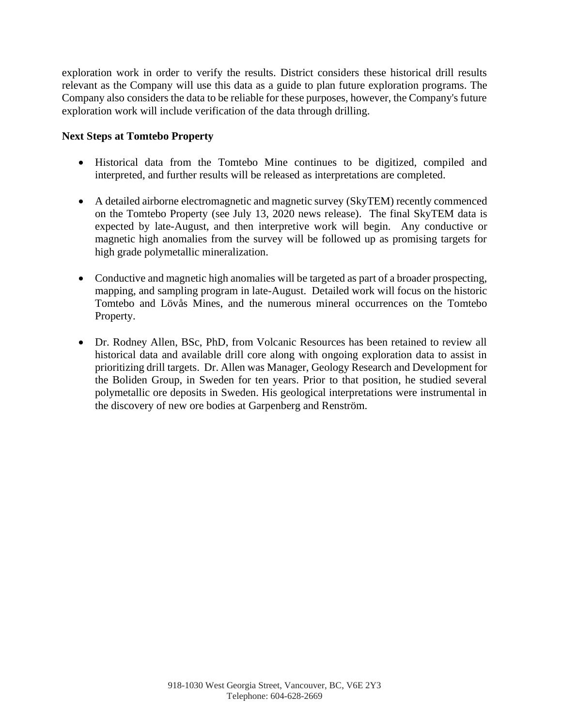exploration work in order to verify the results. District considers these historical drill results relevant as the Company will use this data as a guide to plan future exploration programs. The Company also considers the data to be reliable for these purposes, however, the Company's future exploration work will include verification of the data through drilling.

#### **Next Steps at Tomtebo Property**

- Historical data from the Tomtebo Mine continues to be digitized, compiled and interpreted, and further results will be released as interpretations are completed.
- A detailed airborne electromagnetic and magnetic survey (SkyTEM) recently commenced on the Tomtebo Property (see July 13, 2020 news release). The final SkyTEM data is expected by late-August, and then interpretive work will begin. Any conductive or magnetic high anomalies from the survey will be followed up as promising targets for high grade polymetallic mineralization.
- Conductive and magnetic high anomalies will be targeted as part of a broader prospecting, mapping, and sampling program in late-August. Detailed work will focus on the historic Tomtebo and Lövås Mines, and the numerous mineral occurrences on the Tomtebo Property.
- Dr. Rodney Allen, BSc, PhD, from Volcanic Resources has been retained to review all historical data and available drill core along with ongoing exploration data to assist in prioritizing drill targets. Dr. Allen was Manager, Geology Research and Development for the Boliden Group, in Sweden for ten years. Prior to that position, he studied several polymetallic ore deposits in Sweden. His geological interpretations were instrumental in the discovery of new ore bodies at Garpenberg and Renström.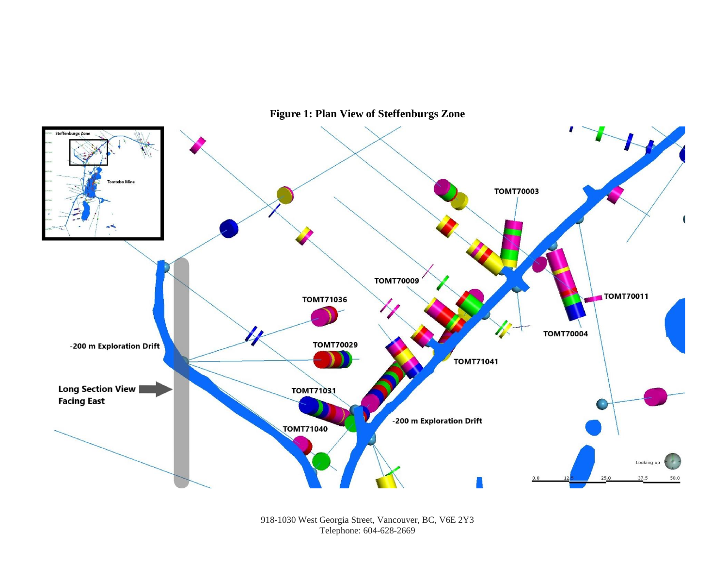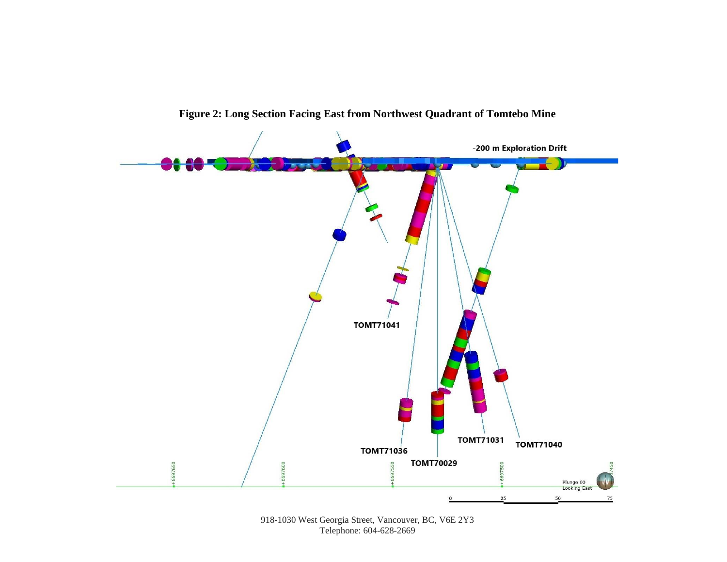

**Figure 2: Long Section Facing East from Northwest Quadrant of Tomtebo Mine**

<sup>918-1030</sup> West Georgia Street, Vancouver, BC, V6E 2Y3 Telephone: 604-628-2669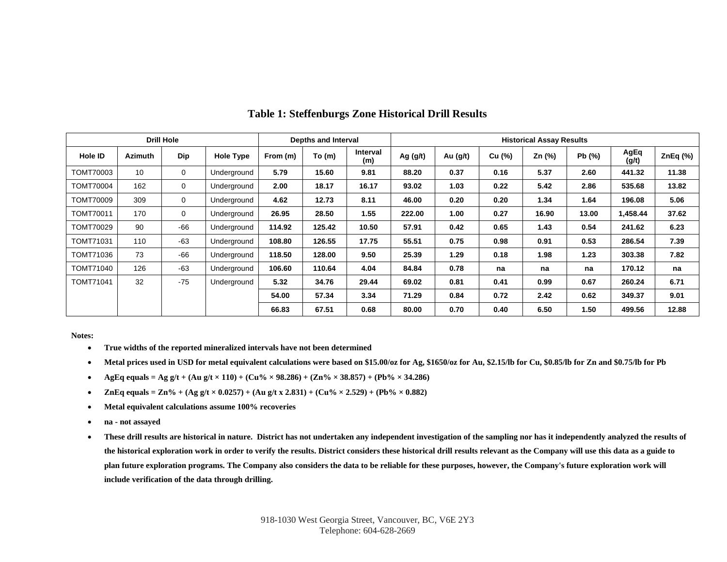| <b>Drill Hole</b> |                 |             |                  | Depths and Interval |        |                 | <b>Historical Assay Results</b> |          |        |        |       |               |         |
|-------------------|-----------------|-------------|------------------|---------------------|--------|-----------------|---------------------------------|----------|--------|--------|-------|---------------|---------|
| Hole ID           | <b>Azimuth</b>  | Dip         | <b>Hole Type</b> | From (m)            | To(m)  | Interval<br>(m) | Ag $(g/t)$                      | Au (g/t) | Cu (%) | Zn (%) | Pb(%) | AgEq<br>(g/t) | ZnEq(%) |
| <b>TOMT70003</b>  | 10 <sup>1</sup> | $\mathbf 0$ | Underground      | 5.79                | 15.60  | 9.81            | 88.20                           | 0.37     | 0.16   | 5.37   | 2.60  | 441.32        | 11.38   |
| <b>TOMT70004</b>  | 162             | $\mathbf 0$ | Underground      | 2.00                | 18.17  | 16.17           | 93.02                           | 1.03     | 0.22   | 5.42   | 2.86  | 535.68        | 13.82   |
| TOMT70009         | 309             | $\mathbf 0$ | Underground      | 4.62                | 12.73  | 8.11            | 46.00                           | 0.20     | 0.20   | 1.34   | 1.64  | 196.08        | 5.06    |
| TOMT70011         | 170             | 0           | Underground      | 26.95               | 28.50  | 1.55            | 222.00                          | 1.00     | 0.27   | 16.90  | 13.00 | 1,458.44      | 37.62   |
| <b>TOMT70029</b>  | 90              | $-66$       | Underground      | 114.92              | 125.42 | 10.50           | 57.91                           | 0.42     | 0.65   | 1.43   | 0.54  | 241.62        | 6.23    |
| TOMT71031         | 110             | $-63$       | Underground      | 108.80              | 126.55 | 17.75           | 55.51                           | 0.75     | 0.98   | 0.91   | 0.53  | 286.54        | 7.39    |
| TOMT71036         | 73              | $-66$       | Underground      | 118.50              | 128.00 | 9.50            | 25.39                           | 1.29     | 0.18   | 1.98   | 1.23  | 303.38        | 7.82    |
| TOMT71040         | 126             | $-63$       | Underground      | 106.60              | 110.64 | 4.04            | 84.84                           | 0.78     | na     | na     | na    | 170.12        | na      |
| TOMT71041         | 32              | $-75$       | Underground      | 5.32                | 34.76  | 29.44           | 69.02                           | 0.81     | 0.41   | 0.99   | 0.67  | 260.24        | 6.71    |
|                   |                 |             |                  | 54.00               | 57.34  | 3.34            | 71.29                           | 0.84     | 0.72   | 2.42   | 0.62  | 349.37        | 9.01    |
|                   |                 |             |                  | 66.83               | 67.51  | 0.68            | 80.00                           | 0.70     | 0.40   | 6.50   | 1.50  | 499.56        | 12.88   |

#### **Table 1: Steffenburgs Zone Historical Drill Results**

**Notes:**

- **True widths of the reported mineralized intervals have not been determined**
- **Metal prices used in USD for metal equivalent calculations were based on \$15.00/oz for Ag, \$1650/oz for Au, \$2.15/lb for Cu, \$0.85/lb for Zn and \$0.75/lb for Pb**
- **AgEq equals = Ag g/t** + (Au g/t  $\times$  110) + (Cu%  $\times$  98.286) + (Zn%  $\times$  38.857) + (Pb%  $\times$  34.286)
- **ZnEq equals = Zn%** + (Ag g/t  $\times$  0.0257) + (Au g/t x 2.831) + (Cu%  $\times$  2.529) + (Pb%  $\times$  0.882)
- **Metal equivalent calculations assume 100% recoveries**
- **na - not assayed**
- **These drill results are historical in nature. District has not undertaken any independent investigation of the sampling nor has it independently analyzed the results of the historical exploration work in order to verify the results. District considers these historical drill results relevant as the Company will use this data as a guide to plan future exploration programs. The Company also considers the data to be reliable for these purposes, however, the Company's future exploration work will include verification of the data through drilling.**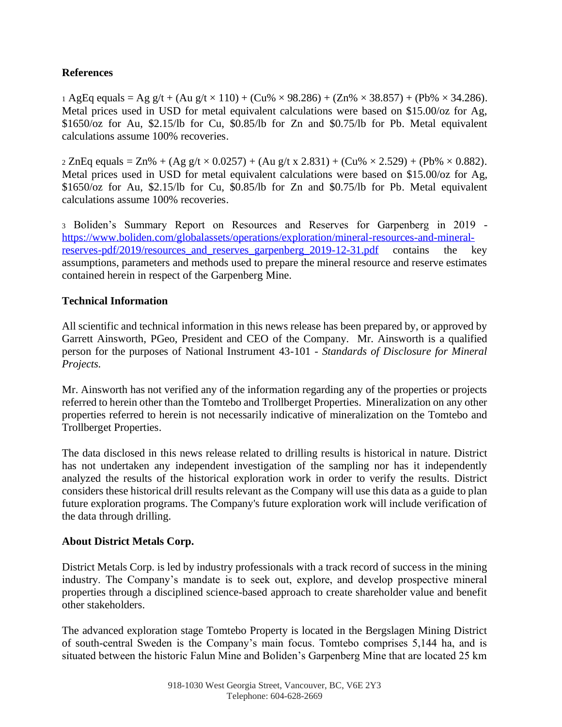### **References**

1 AgEq equals = Ag g/t + (Au g/t  $\times$  110) + (Cu%  $\times$  98.286) + (Zn%  $\times$  38.857) + (Pb%  $\times$  34.286). Metal prices used in USD for metal equivalent calculations were based on \$15.00/oz for Ag, \$1650/oz for Au, \$2.15/lb for Cu, \$0.85/lb for Zn and \$0.75/lb for Pb. Metal equivalent calculations assume 100% recoveries.

 $2 \text{ ZnEq equals} = \text{Zn\%} + (\text{Ag g/t} \times 0.0257) + (\text{Au g/t x } 2.831) + (\text{Cu\%} \times 2.529) + (\text{Pb\%} \times 0.882).$ Metal prices used in USD for metal equivalent calculations were based on \$15.00/oz for Ag, \$1650/oz for Au, \$2.15/lb for Cu, \$0.85/lb for Zn and \$0.75/lb for Pb. Metal equivalent calculations assume 100% recoveries.

<sup>3</sup> Boliden's Summary Report on Resources and Reserves for Garpenberg in 2019 [https://www.boliden.com/globalassets/operations/exploration/mineral-resources-and-mineral](https://www.boliden.com/globalassets/operations/exploration/mineral-resources-and-mineral-reserves-pdf/2019/resources_and_reserves_garpenberg_2019-12-31.pdf)reserves-pdf/2019/resources and reserves garpenberg 2019-12-31.pdf contains the key assumptions, parameters and methods used to prepare the mineral resource and reserve estimates contained herein in respect of the Garpenberg Mine.

### **Technical Information**

All scientific and technical information in this news release has been prepared by, or approved by Garrett Ainsworth, PGeo, President and CEO of the Company. Mr. Ainsworth is a qualified person for the purposes of National Instrument 43-101 - *Standards of Disclosure for Mineral Projects.*

Mr. Ainsworth has not verified any of the information regarding any of the properties or projects referred to herein other than the Tomtebo and Trollberget Properties. Mineralization on any other properties referred to herein is not necessarily indicative of mineralization on the Tomtebo and Trollberget Properties.

The data disclosed in this news release related to drilling results is historical in nature. District has not undertaken any independent investigation of the sampling nor has it independently analyzed the results of the historical exploration work in order to verify the results. District considers these historical drill results relevant as the Company will use this data as a guide to plan future exploration programs. The Company's future exploration work will include verification of the data through drilling.

### **About District Metals Corp.**

District Metals Corp. is led by industry professionals with a track record of success in the mining industry. The Company's mandate is to seek out, explore, and develop prospective mineral properties through a disciplined science-based approach to create shareholder value and benefit other stakeholders.

The advanced exploration stage Tomtebo Property is located in the Bergslagen Mining District of south-central Sweden is the Company's main focus. Tomtebo comprises 5,144 ha, and is situated between the historic Falun Mine and Boliden's Garpenberg Mine that are located 25 km